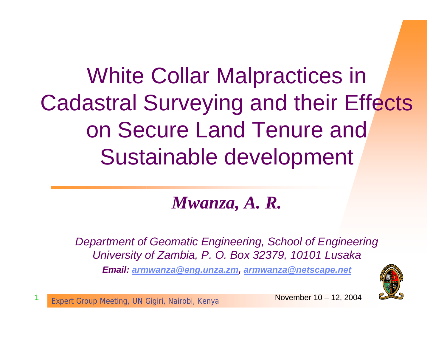White Collar Malpractices in Cadastral Surveying and their Effects on Secure Land Tenure and Sustainable development

#### *Mwanza, A. R.*

*Department of Geomatic Engineering, School of Engineering University of Zambia, P. O. Box 32379, 10101 Lusaka*

*Email: [armwanza@eng.unza.zm,](mailto:armwanza@eng.unza.zm) [armwanza@netscape.net](mailto:armwanza@netscape.net)*



<sup>1</sup> November 10 – 12, 2004 Expert Group Meeting, UN Gigiri, Nairobi, Kenya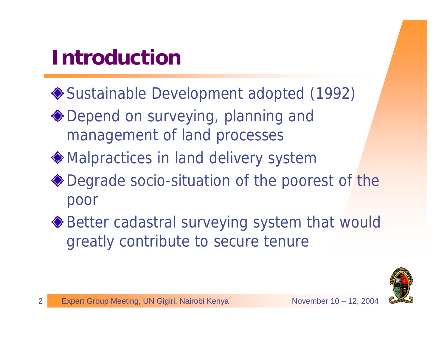## **Introduction**

- Sustainable Development adopted (1992)
- ◆ Depend on surveying, planning and management of land processes
- Malpractices in land delivery system
- ◆ Degrade socio-situation of the poorest of the poor
- ◆ Better cadastral surveying system that would greatly contribute to secure tenure

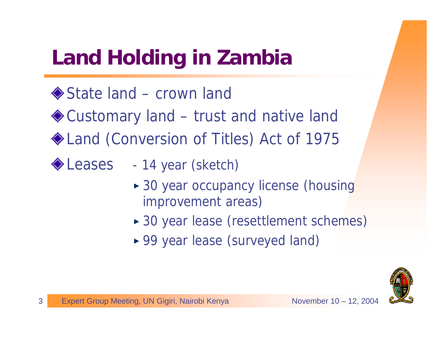## **Land Holding in Zambia**

◆ State land – crown land ◆ Customary land – trust and native land ◆ Land (Conversion of Titles) Act of 1975

◆ Leases - 14 year (sketch)

- ► 30 year occupancy license (housing improvement areas)
- ► 30 year lease (resettlement schemes)
- ► 99 year lease (surveyed land)

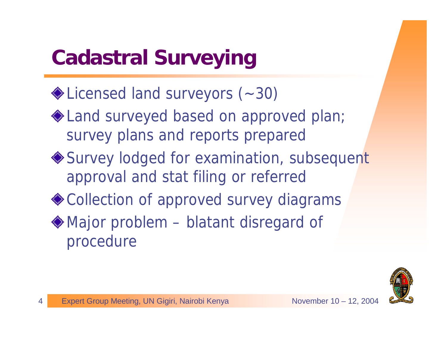# **Cadastral Surveying**

- Licensed land surveyors (~30)
- ◆ Land surveyed based on approved plan; survey plans and reports prepared
- ◆ Survey lodged for examination, subsequent approval and stat filing or referred
- ◆ Collection of approved survey diagrams
- ◆ Major problem blatant disregard of procedure

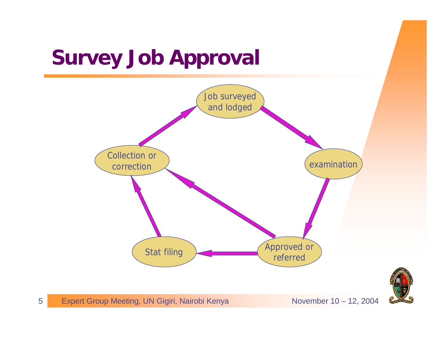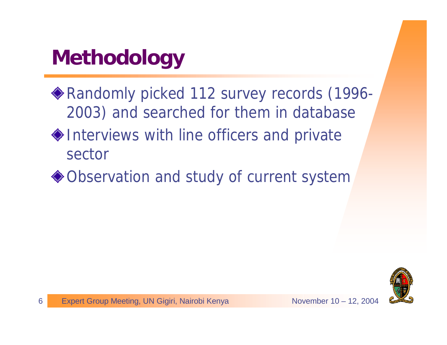# **Methodology**

- ◆ Randomly picked 112 survey records (1996-2003) and searched for them in database
- ♦ Interviews with line officers and private sector
- ◆ Observation and study of current system

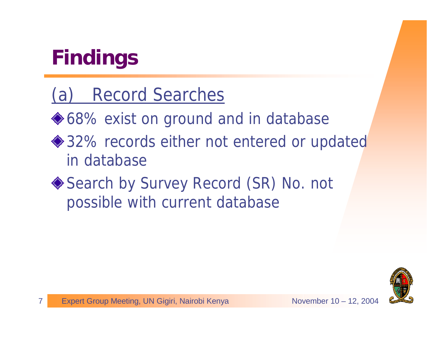# **Findings**

#### (a) Record Searches

◆ 68% exist on ground and in database

- **♦ 32% records either not entered or updated** in database
- ◆ Search by Survey Record (SR) No. not possible with current database

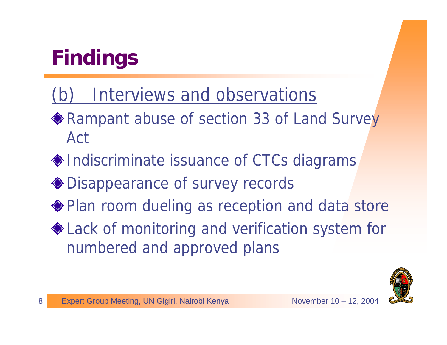# **Findings**

### (b) Interviews and observations

- **Rampant abuse of section 33 of Land Survey** Act
- Indiscriminate issuance of CTCs diagrams
- ◆ Disappearance of survey records
- Plan room dueling as reception and data store
- ◆ Lack of monitoring and verification system for numbered and approved plans

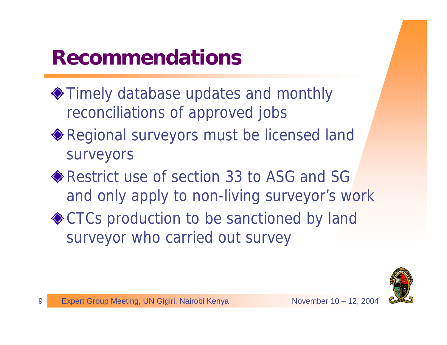### **Recommendations**

- Timely database updates and monthly reconciliations of approved jobs
- Regional surveyors must be licensed land surveyors
- ◆ Restrict use of section 33 to ASG and SG and only apply to non-living surveyor's work
- ◆ CTCs production to be sanctioned by land surveyor who carried out survey

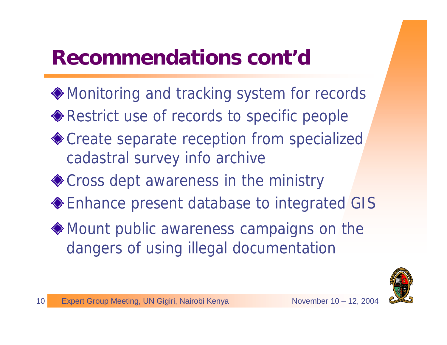### **Recommendations cont'd**

- Monitoring and tracking system for records
- ◆ Restrict use of records to specific people
- Create separate reception from specialized cadastral survey info archive
- ◆ Cross dept awareness in the ministry
- Enhance present database to integrated GIS
- Mount public awareness campaigns on the dangers of using illegal documentation

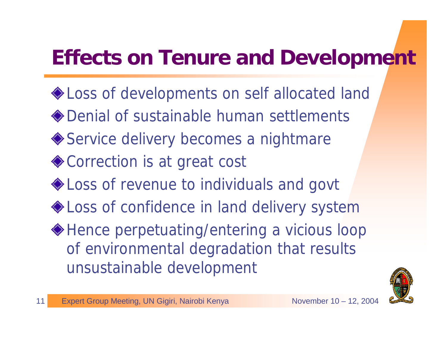### **Effects on Tenure and Development**

◆ Loss of developments on self allocated land Denial of sustainable human settlements ◆ Service delivery becomes a nightmare ◆ Correction is at great cost ◆ Loss of revenue to individuals and govt ◆ Loss of confidence in land delivery system Hence perpetuating/entering a vicious loop of environmental degradation that results unsustainable development

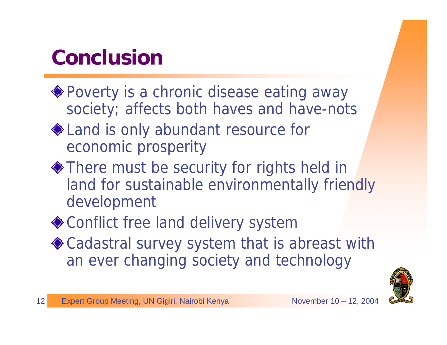## **Conclusion**

- ◆ Poverty is a chronic disease eating away society; affects both haves and have-nots
- ◆ Land is only abundant resource for economic prosperity
- There must be security for rights held in land for sustainable environmentally friendly development
- ◆ Conflict free land delivery system
- ◆ Cadastral survey system that is abreast with an ever changing society and technology